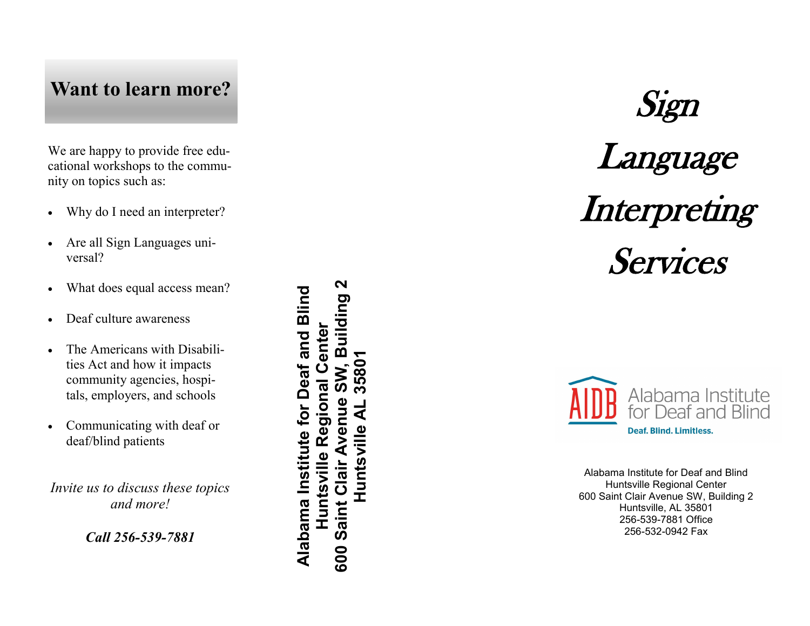## **Want to learn more?**

We are happy to provide free educational workshops to the community on topics such as:

- Why do I need an interpreter?
- Are all Sign Languages universal?
- What does equal access mean?
- Deaf culture awareness
- The Americans with Disabilities Act and how it impacts community agencies, hospitals, employers, and schools
- Communicating with deaf or deaf/blind patients

*Invite us to discuss these topics and more!* 

### *Call 256-539 -7881*

N **600 Saint Clair Avenue SW, Building 2** Alabama Institute for Deaf and Blind **Alabama Institute for Deaf and Blind** Building enter **Huntsville Regional Center Huntsville AL 35801**3580 Ŭ Huntsville Regional ัด aint Clair Avenue ব Huntsville  $\tilde{\mathbf{v}}$ 600

# Sign Language Interpreting Services



Alabama Institute for Deaf and Blind Huntsville Regional Center 600 Saint Clair Avenue SW, Building 2 Huntsville, AL 35801 256 -539 -7881 Office 256 -532 -0942 Fax